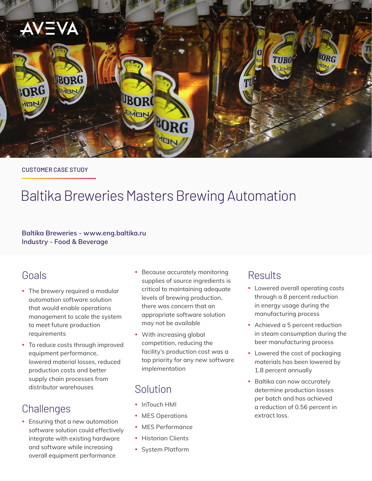

#### CUSTOMER CASE STUDY

# Baltika Breweries Masters Brewing Automation

#### **Baltika Breweries - [www.eng.baltika.ru](https://eng.baltika.ru/) Industry - Food & Beverage**

### Goals

- The brewery required a modular automation software solution that would enable operations management to scale the system to meet future production requirements
- To reduce costs through improved equipment performance, lowered material losses, reduced production costs and better supply chain processes from distributor warehouses

## **Challenges**

• Ensuring that a new automation software solution could effectively integrate with existing hardware and software while increasing overall equipment performance

- Because accurately monitoring supplies of source ingredients is critical to maintaining adequate levels of brewing production, there was concern that an appropriate software solution may not be available
- With increasing global competition, reducing the facility's production cost was a top priority for any new software implementation

### Solution

- InTouch HMI
- MES Operations
- MES Performance
- Historian Clients
- System Platform

### **Results**

- Lowered overall operating costs through a 8 percent reduction in energy usage during the manufacturing process
- Achieved a 5 percent reduction in steam consumption during the beer manufacturing process
- Lowered the cost of packaging materials has been lowered by 1.8 percent annually
- Baltika can now accurately determine production losses per batch and has achieved a reduction of 0.56 percent in extract loss.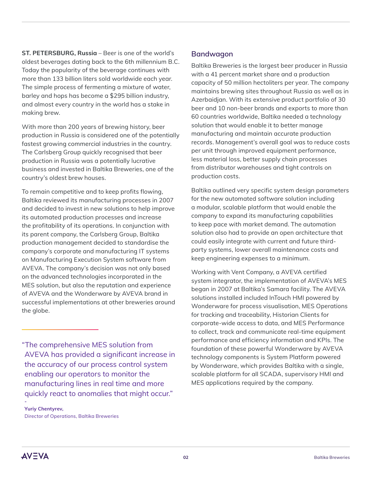**ST. PETERSBURG, Russia** – Beer is one of the world's oldest beverages dating back to the 6th millennium B.C. Today the popularity of the beverage continues with more than 133 billion liters sold worldwide each year. The simple process of fermenting a mixture of water, barley and hops has become a \$295 billion industry, and almost every country in the world has a stake in making brew.

With more than 200 years of brewing history, beer production in Russia is considered one of the potentially fastest growing commercial industries in the country. The Carlsberg Group quickly recognised that beer production in Russia was a potentially lucrative business and invested in Baltika Breweries, one of the country's oldest brew houses.

To remain competitive and to keep profits flowing, Baltika reviewed its manufacturing processes in 2007 and decided to invest in new solutions to help improve its automated production processes and increase the profitability of its operations. In conjunction with its parent company, the Carlsberg Group, Baltika production management decided to standardise the company's corporate and manufacturing IT systems on Manufacturing Execution System software from AVEVA. The company's decision was not only based on the advanced technologies incorporated in the MES solution, but also the reputation and experience of AVEVA and the Wonderware by AVEVA brand in successful implementations at other breweries around the globe.

"The comprehensive MES solution from AVEVA has provided a significant increase in the accuracy of our process control system enabling our operators to monitor the manufacturing lines in real time and more quickly react to anomalies that might occur."

**Yuriy Chentyrev,** Director of Operations, Baltika Breweries

### **Bandwagon**

Baltika Breweries is the largest beer producer in Russia with a 41 percent market share and a production capacity of 50 million hectoliters per year. The company maintains brewing sites throughout Russia as well as in Azerbaidjan. With its extensive product portfolio of 30 beer and 10 non-beer brands and exports to more than 60 countries worldwide, Baltika needed a technology solution that would enable it to better manage manufacturing and maintain accurate production records. Management's overall goal was to reduce costs per unit through improved equipment performance, less material loss, better supply chain processes from distributor warehouses and tight controls on production costs.

Baltika outlined very specific system design parameters for the new automated software solution including a modular, scalable platform that would enable the company to expand its manufacturing capabilities to keep pace with market demand. The automation solution also had to provide an open architecture that could easily integrate with current and future thirdparty systems, lower overall maintenance costs and keep engineering expenses to a minimum.

Working with Vent Company, a AVEVA certified system integrator, the implementation of AVEVA's MES began in 2007 at Baltika's Samara facility. The AVEVA solutions installed included InTouch HMI powered by Wonderware for process visualisation, MES Operations for tracking and traceability, Historian Clients for corporate-wide access to data, and MES Performance to collect, track and communicate real-time equipment performance and efficiency information and KPIs. The foundation of these powerful Wonderware by AVEVA technology components is System Platform powered by Wonderware, which provides Baltika with a single, scalable platform for all SCADA, supervisory HMI and MES applications required by the company.



**-**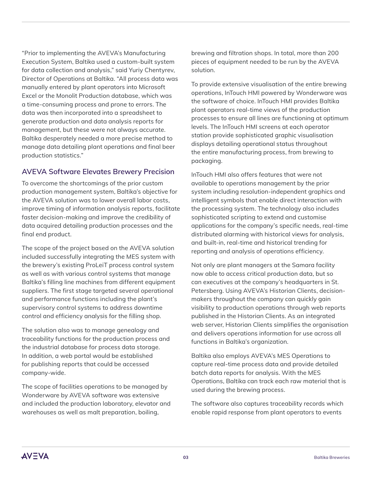"Prior to implementing the AVEVA's Manufacturing Execution System, Baltika used a custom-built system for data collection and analysis," said Yuriy Chentyrev, Director of Operations at Baltika. "All process data was manually entered by plant operators into Microsoft Excel or the Monolit Production database, which was a time-consuming process and prone to errors. The data was then incorporated into a spreadsheet to generate production and data analysis reports for management, but these were not always accurate. Baltika desperately needed a more precise method to manage data detailing plant operations and final beer production statistics."

### **AVEVA Software Elevates Brewery Precision**

To overcome the shortcomings of the prior custom production management system, Baltika's objective for the AVEVA solution was to lower overall labor costs, improve timing of information analysis reports, facilitate faster decision-making and improve the credibility of data acquired detailing production processes and the final end product.

The scope of the project based on the AVEVA solution included successfully integrating the MES system with the brewery's existing ProLeiT process control system as well as with various control systems that manage Baltika's filling line machines from different equipment suppliers. The first stage targeted several operational and performance functions including the plant's supervisory control systems to address downtime control and efficiency analysis for the filling shop.

The solution also was to manage genealogy and traceability functions for the production process and the industrial database for process data storage. In addition, a web portal would be established for publishing reports that could be accessed company-wide.

The scope of facilities operations to be managed by Wonderware by AVEVA software was extensive and included the production laboratory, elevator and warehouses as well as malt preparation, boiling,

brewing and filtration shops. In total, more than 200 pieces of equipment needed to be run by the AVEVA solution.

To provide extensive visualisation of the entire brewing operations, InTouch HMI powered by Wonderware was the software of choice. InTouch HMI provides Baltika plant operators real-time views of the production processes to ensure all lines are functioning at optimum levels. The InTouch HMI screens at each operator station provide sophisticated graphic visualisation displays detailing operational status throughout the entire manufacturing process, from brewing to packaging.

InTouch HMI also offers features that were not available to operations management by the prior system including resolution-independent graphics and intelligent symbols that enable direct interaction with the processing system. The technology also includes sophisticated scripting to extend and customise applications for the company's specific needs, real-time distributed alarming with historical views for analysis, and built-in, real-time and historical trending for reporting and analysis of operations efficiency.

Not only are plant managers at the Samara facility now able to access critical production data, but so can executives at the company's headquarters in St. Petersberg. Using AVEVA's Historian Clients, decisionmakers throughout the company can quickly gain visibility to production operations through web reports published in the Historian Clients. As an integrated web server, Historian Clients simplifies the organisation and delivers operations information for use across all functions in Baltika's organization.

Baltika also employs AVEVA's MES Operations to capture real-time process data and provide detailed batch data reports for analysis. With the MES Operations, Baltika can track each raw material that is used during the brewing process.

The software also captures traceability records which enable rapid response from plant operators to events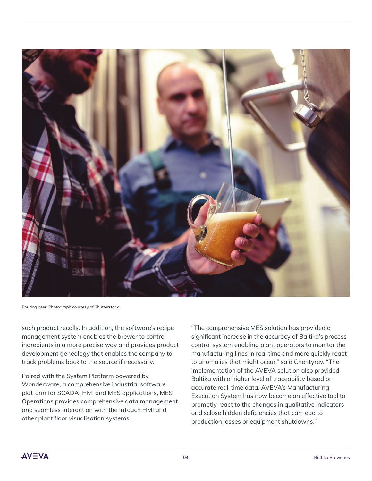

Pouring beer. Photograph courtesy of Shutterstock

such product recalls. In addition, the software's recipe management system enables the brewer to control ingredients in a more precise way and provides product development genealogy that enables the company to track problems back to the source if necessary.

Paired with the System Platform powered by Wonderware, a comprehensive industrial software platform for SCADA, HMI and MES applications, MES Operations provides comprehensive data management and seamless interaction with the InTouch HMI and other plant floor visualisation systems.

"The comprehensive MES solution has provided a significant increase in the accuracy of Baltika's process control system enabling plant operators to monitor the manufacturing lines in real time and more quickly react to anomalies that might occur," said Chentyrev. "The implementation of the AVEVA solution also provided Baltika with a higher level of traceability based on accurate real-time data. AVEVA's Manufacturing Execution System has now become an effective tool to promptly react to the changes in qualitative indicators or disclose hidden deficiencies that can lead to production losses or equipment shutdowns."